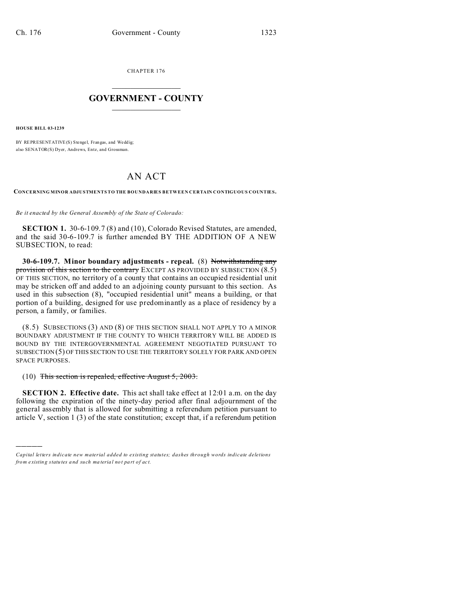CHAPTER 176  $\overline{\phantom{a}}$  , where  $\overline{\phantom{a}}$ 

## **GOVERNMENT - COUNTY**  $\_$

**HOUSE BILL 03-1239**

)))))

BY REPRESENTATIVE(S) Stengel, Frangas, and Weddig; also SENATOR(S) Dyer, Andrews, Entz, and Grossman.

## AN ACT

**CONCERNING MINOR ADJUSTMENTS TO THE BOUNDARIES BETWEEN CERTAIN CONTIGUOUS COUNTIES.**

*Be it enacted by the General Assembly of the State of Colorado:*

**SECTION 1.** 30-6-109.7 (8) and (10), Colorado Revised Statutes, are amended, and the said 30-6-109.7 is further amended BY THE ADDITION OF A NEW SUBSECTION, to read:

**30-6-109.7. Minor boundary adjustments - repeal.** (8) Notwithstanding any provision of this section to the contrary EXCEPT AS PROVIDED BY SUBSECTION (8.5) OF THIS SECTION, no territory of a county that contains an occupied residential unit may be stricken off and added to an adjoining county pursuant to this section. As used in this subsection (8), "occupied residential unit" means a building, or that portion of a building, designed for use predominantly as a place of residency by a person, a family, or families.

(8.5) SUBSECTIONS (3) AND (8) OF THIS SECTION SHALL NOT APPLY TO A MINOR BOUNDARY ADJUSTMENT IF THE COUNTY TO WHICH TERRITORY WILL BE ADDED IS BOUND BY THE INTERGOVERNMENTAL AGREEMENT NEGOTIATED PURSUANT TO SUBSECTION (5) OF THIS SECTION TO USE THE TERRITORY SOLELY FOR PARK AND OPEN SPACE PURPOSES.

 $(10)$  This section is repealed, effective August 5, 2003.

**SECTION 2. Effective date.** This act shall take effect at 12:01 a.m. on the day following the expiration of the ninety-day period after final adjournment of the general assembly that is allowed for submitting a referendum petition pursuant to article V, section 1 (3) of the state constitution; except that, if a referendum petition

*Capital letters indicate new material added to existing statutes; dashes through words indicate deletions from e xistin g statu tes a nd such ma teria l no t pa rt of ac t.*